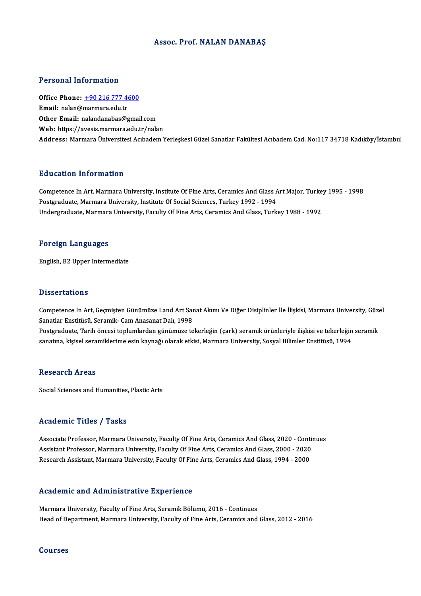#### Assoc. Prof.NALAN DANABAŞ

#### Personal Information

Personal Information<br>Office Phone: <u>+90 216 777 4600</u><br>Email: nalan@marmars.cdu.tr Procedure Hirochiaction<br>Office Phone: <u>+90 216 777 4</u><br>Email: nalan@[marmara.edu.tr](tel:+90 216 777 4600) Email: nalan@marmara.edu.tr<br>Other Email: nalandanabas@gmail.com Web: https://avesis.marmara.edu.tr/nalan Address: Marmara Üniversitesi Acıbadem Yerleşkesi Güzel Sanatlar Fakültesi Acıbadem Cad. No:117 34718 Kadıköy/İstambu

#### Education Information

Education Information<br>Competence In Art, Marmara University, Institute Of Fine Arts, Ceramics And Glass Art Major, Turkey 1995 - 1998<br>Postanaduate Marmara University, Institute Of Secial Sciences, Turkey 1992, 1994 Put deather Triver Interest<br>Competence In Art, Marmara University, Institute Of Fine Arts, Ceramics And Glass A<br>Postgraduate, Marmara University, Institute Of Social Sciences, Turkey 1992 - 1994<br>Undergraduate Marmara Unive Competence In Art, Marmara University, Institute Of Fine Arts, Ceramics And Glass Art Major, Turke<br>Postgraduate, Marmara University, Institute Of Social Sciences, Turkey 1992 - 1994<br>Undergraduate, Marmara University, Facul Undergraduate, Marmara University, Faculty Of Fine Arts, Ceramics And Glass, Turkey 1988 - 1992<br>Foreign Languages

English,B2Upper Intermediate

#### **Dissertations**

Dissertations<br>Competence In Art, Geçmişten Günümüze Land Art Sanat Akımı Ve Diğer Disiplinler İle İlişkisi, Marmara University, Güzel<br>Sanatlar Enstitüsü, Saramik, Cam Anasanat Delu 1999 Sanatlar Enstitüsü<br>Competence In Art, Geçmişten Günümüze Land Art Sar<br>Sanatlar Enstitüsü, Seramik- Cam Anasanat Dalı, 1998<br>Bostanaduata Tarih öncesi taplumlardan günümüze te Competence In Art, Geçmişten Günümüze Land Art Sanat Akımı Ve Diğer Disiplinler İle İlişkisi, Marmara University, Güze<br>Sanatlar Enstitüsü, Seramik- Cam Anasanat Dalı, 1998<br>Postgraduate, Tarih öncesi toplumlardan günümüze t

Sanatlar Enstitüsü, Seramik- Cam Anasanat Dalı, 1998<br>Postgraduate, Tarih öncesi toplumlardan günümüze tekerleğin (çark) seramik ürünleriyle ilişkisi ve tekerleğin seramik<br>sanatına, kişisel seramiklerime esin kaynağı olarak

#### **Research Areas**

Social Sciences and Humanities, Plastic Arts

#### Academic Titles / Tasks

Academic Titles / Tasks<br>Associate Professor, Marmara University, Faculty Of Fine Arts, Ceramics And Glass, 2020 - Continues<br>Assistant Professor, Marmara University, Faculty Of Fine Arts, Ceramics And Glass, 2000, 2020. Associate Professor, Marmara University, Faculty Of Fine Arts, Ceramics And Glass, 2020 - Contin<br>Assistant Professor, Marmara University, Faculty Of Fine Arts, Ceramics And Glass, 2000 - 2020<br>Besearch Assistant Marmara Uni Assistant Professor, Marmara University, Faculty Of Fine Arts, Ceramics And Glass, 2000 - 2020<br>Research Assistant, Marmara University, Faculty Of Fine Arts, Ceramics And Glass, 1994 - 2000

#### Academic and Administrative Experience

Marmara University, Faculty of Fine Arts, Seramik Bölümü, 2016 - Continues Head of Department, Marmara University, Faculty of Fine Arts, Ceramics and Glass, 2012 - 2016

#### Courses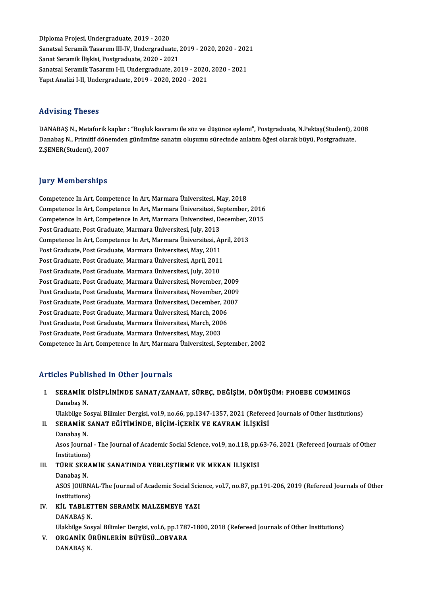DiplomaProjesi,Undergraduate,2019 -2020 Diploma Projesi, Undergraduate, 2019 - 2020<br>Sanatsal Seramik Tasarımı III-IV, Undergraduate, 2019 - 2020, 2020 - 2021<br>Sanat Seramik İliakiai, Pestsraduate, 2020, ...?021 Diploma Projesi, Undergraduate, 2019 - 2020<br>Sanatsal Seramik Tasarımı III-IV, Undergraduate, .<br>Sanat Seramik İlişkisi, Postgraduate, 2020 - 2021<br>Sanatsal Sanamik Tasarımı I. II. Undergraduata, 20 Sanatsal Seramik Tasarımı III-IV, Undergraduate, 2019 - 2020, 2020 - 202<br>Sanat Seramik İlişkisi, Postgraduate, 2020 - 2021<br>Sanatsal Seramik Tasarımı I-II, Undergraduate, 2019 - 2020, 2020 - 2021<br>Yanıt Analizi I. II Undergr Sanat Seramik İlişkisi, Postgraduate, 2020 - 2021<br>Sanatsal Seramik Tasarımı I-II, Undergraduate, 2019 - 2020, 2020 - 2021<br>Yapıt Analizi I-II, Undergraduate, 2019 - 2020, 2020 - 2021

#### Advising Theses

Advising Theses<br>DANABAŞ N., Metaforik kaplar : "Boşluk kavramı ile söz ve düşünce eylemi", Postgraduate, N.Pektaş(Student), 2008<br>Danabaş N., Primitif dönemden günümüze sanatın elusumu sünesinde anlatım öğesi elerek büyü. P rta viorn<sub>is i</sub>r resses<br>DANABAŞ N., Metaforik kaplar : "Boşluk kavramı ile söz ve düşünce eylemi", Postgraduate, N.Pektaş(Student), 2<br>Danabaş N., Primitif dönemden günümüze sanatın oluşumu sürecinde anlatım öğesi olarak bü Danabaş N., Primitif dönemden günümüze sanatın oluşumu sürecinde anlatım öğesi olarak büyü, Postgraduate, Z.ŞENER(Student), 2007

#### **Jury Memberships**

Competence InArt,Competence InArt,MarmaraÜniversitesi,May,2018 Competence In Art, Competence In Art, Marmara Üniversitesi, September, 2016 Competence In Art, Competence In Art, Marmara Üniversitesi, May, 2018<br>Competence In Art, Competence In Art, Marmara Üniversitesi, September, 2016<br>Competence In Art, Competence In Art, Marmara Üniversitesi, December, 2015<br>P Competence In Art, Competence In Art, Marmara Üniversitesi, Se<br>Competence In Art, Competence In Art, Marmara Üniversitesi, D<br>Post Graduate, Post Graduate, Marmara Üniversitesi, July, 2013<br>Competence In Art, Competence In A Competence In Art, Competence In Art, Marmara Üniversitesi, December, 2<br>Post Graduate, Post Graduate, Marmara Üniversitesi, July, 2013<br>Competence In Art, Competence In Art, Marmara Üniversitesi, April, 2013<br>Post Craduate, Post Graduate, Post Graduate, Marmara Üniversitesi, July, 2013<br>Competence In Art, Competence In Art, Marmara Üniversitesi, April, 2013<br>Post Graduate, Post Graduate, Marmara Üniversitesi, May, 2011 Competence In Art, Competence In Art, Marmara Üniversitesi, Apr<br>Post Graduate, Post Graduate, Marmara Üniversitesi, May, 2011<br>Post Graduate, Post Graduate, Marmara Üniversitesi, April, 2010<br>Post Craduate, Post Craduate, Ma Post Graduate, Post Graduate, Marmara Üniversitesi, May, 2011<br>Post Graduate, Post Graduate, Marmara Üniversitesi, April, 2011<br>Post Graduate, Post Graduate, Marmara Üniversitesi, July, 2010<br>Post Craduate, Post Craduate, Mar Post Graduate, Post Graduate, Marmara Üniversitesi, April, 2011<br>Post Graduate, Post Graduate, Marmara Üniversitesi, July, 2010<br>Post Graduate, Post Graduate, Marmara Üniversitesi, November, 2009<br>Post Craduate, Post Craduate Post Graduate, Post Graduate, Marmara Üniversitesi, July, 2010<br>Post Graduate, Post Graduate, Marmara Üniversitesi, November, 2009<br>Post Graduate, Post Graduate, Marmara Üniversitesi, November, 2009<br>Post Craduate, Post Cradu Post Graduate, Post Graduate, Marmara Üniversitesi, November, 2009<br>Post Graduate, Post Graduate, Marmara Üniversitesi, November, 2009<br>Post Graduate, Post Graduate, Marmara Üniversitesi, December, 2007<br>Post Craduate, Post C Post Graduate, Post Graduate, Marmara Üniversitesi, November, 20<br>Post Graduate, Post Graduate, Marmara Üniversitesi, December, 20<br>Post Graduate, Post Graduate, Marmara Üniversitesi, March, 2006<br>Post Craduate, Post Craduate Post Graduate, Post Graduate, Marmara Üniversitesi, December, 20<br>Post Graduate, Post Graduate, Marmara Üniversitesi, March, 2006<br>Post Graduate, Post Graduate, Marmara Üniversitesi, March, 2006<br>Post Craduate, Post Craduate, Post Graduate, Post Graduate, Marmara Üniversitesi, March, 2006<br>Post Graduate, Post Graduate, Marmara Üniversitesi, March, 2006<br>Post Graduate, Post Graduate, Marmara Üniversitesi, May, 2003 Competence In Art, Competence In Art, Marmara Üniversitesi, September, 2002

#### Articles Published in Other Journals

rticles Published in Other Journals<br>I. SERAMİK DİSİPLİNİNDE SANAT/ZANAAT, SÜREÇ, DEĞİŞİM, DÖNÜŞÜM: PHOEBE CUMMINGS<br>Ranabas N SERAMİK<br>Danabaş N.<br>Ulakbilee Se SERAMİK DİSİPLİNİNDE SANAT/ZANAAT, SÜREÇ, DEĞİŞİM, DÖNÜŞÜM: PHOEBE CUMMINGS<br>Danabaş N.<br>Ulakbilge Sosyal Bilimler Dergisi, vol.9, no.66, pp.1347-1357, 2021 (Refereed Journals of Other Institutions)<br>SERAMİK SANAT EĞİTİMİNDE, Danabaş N.<br>Ulakbilge Sosyal Bilimler Dergisi, vol.9, no.66, pp.1347-1357, 2021 (Referee<br>II. SERAMİK SANAT EĞİTİMİNDE, BİÇİM-İÇERİK VE KAVRAM İLİŞKİSİ<br>Danabas N Ulakbilge Sc<br>SERAMİK :<br>Danabaş N. SERAMİK SANAT EĞİTİMİNDE, BİÇİM-İÇERİK VE KAVRAM İLİŞKİSİ<br>Danabaş N.<br>Asos Journal - The Journal of Academic Social Science, vol.9, no.118, pp.63-76, 2021 (Refereed Journals of Other<br>Institutione) Danabaş N.<br>Asos Journal<br>Institutions)<br>Tüp*v* SEPA Asos Journal - The Journal of Academic Social Science, vol.9, no.118, pp.<br>Institutions)<br>III. TÜRK SERAMİK SANATINDA YERLEŞTİRME VE MEKAN İLİŞKİSİ<br>Panabas N Institutions)<br>III. TÜRK SERAMİK SANATINDA YERLEŞTİRME VE MEKAN İLİŞKİSİ<br>Danabaş N. TÜRK SERAMİK SANATINDA YERLEŞTİRME VE MEKAN İLİŞKİSİ<br>Danabaş N.<br>ASOS JOURNAL-The Journal of Academic Social Science, vol.7, no.87, pp.191-206, 2019 (Refereed Journals of Other<br>Institutione) Danabaş N.<br>ASOS JOURN.<br>Institutions)<br>Kit. TABLET ASOS JOURNAL-The Journal of Academic Social Scie<br>Institutions)<br>IV. KİL TABLETTEN SERAMİK MALZEMEYE YAZI Institutions)<br>IV. KIL TABLETTEN SERAMIK MALZEMEYE YAZI<br>DANABAS N.

Ulakbilge Sosyal Bilimler Dergisi, vol.6, pp.1787-1800, 2018 (Refereed Journals of Other Institutions) DANABAŞ N.<br>Ulakbilge Sosyal Bilimler Dergisi, vol.6, pp.1787<br>V. ORGANİK ÜRÜNLERİN BÜYÜSÜ...OBVARA<br>DANABAS N

Ulakbilge Sos<br><mark>ORGANİK Ü</mark><br>DANABAŞ N.